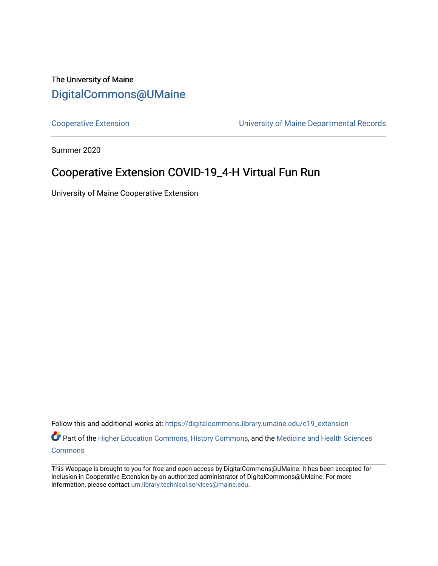### The University of Maine [DigitalCommons@UMaine](https://digitalcommons.library.umaine.edu/)

[Cooperative Extension](https://digitalcommons.library.umaine.edu/c19_extension) [University of Maine Departmental Records](https://digitalcommons.library.umaine.edu/c19_umdr) 

Summer 2020

## Cooperative Extension COVID-19\_4-H Virtual Fun Run

University of Maine Cooperative Extension

Follow this and additional works at: [https://digitalcommons.library.umaine.edu/c19\\_extension](https://digitalcommons.library.umaine.edu/c19_extension?utm_source=digitalcommons.library.umaine.edu%2Fc19_extension%2F8&utm_medium=PDF&utm_campaign=PDFCoverPages)  Part of the [Higher Education Commons,](http://network.bepress.com/hgg/discipline/1245?utm_source=digitalcommons.library.umaine.edu%2Fc19_extension%2F8&utm_medium=PDF&utm_campaign=PDFCoverPages) [History Commons,](http://network.bepress.com/hgg/discipline/489?utm_source=digitalcommons.library.umaine.edu%2Fc19_extension%2F8&utm_medium=PDF&utm_campaign=PDFCoverPages) and the Medicine and Health Sciences **[Commons](http://network.bepress.com/hgg/discipline/648?utm_source=digitalcommons.library.umaine.edu%2Fc19_extension%2F8&utm_medium=PDF&utm_campaign=PDFCoverPages)** 

This Webpage is brought to you for free and open access by DigitalCommons@UMaine. It has been accepted for inclusion in Cooperative Extension by an authorized administrator of DigitalCommons@UMaine. For more information, please contact [um.library.technical.services@maine.edu](mailto:um.library.technical.services@maine.edu).